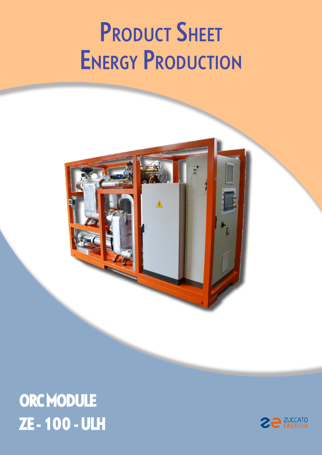# **PRODUCT SHEET ENERGY PRODUCTION**



## ORC MODULE ZE - 100 - ULH

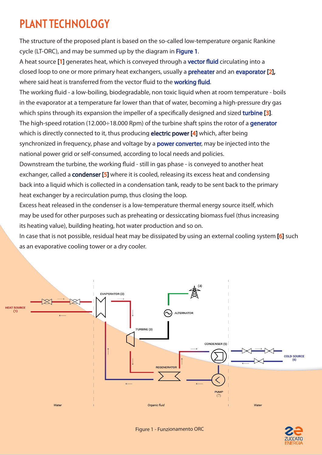#### PLANT TECHNOLOGY

The structure of the proposed plant is based on the so-called low-temperature organic Rankine cycle (LT-ORC), and may be summed up by the diagram in Figure 1.

A heat source [1] generates heat, which is conveyed through a **vector fluid** circulating into a closed loop to one or more primary heat exchangers, usually a **preheater** and an evaporator [2], where said heat is transferred from the vector fluid to the working fluid.

The working fluid - a low-boiling, biodegradable, non toxic liquid when at room temperature - boils in the evaporator at a temperature far lower than that of water, becoming a high-pressure dry gas which spins through its expansion the impeller of a specifically designed and sized turbine [3]. The high-speed rotation (12.000÷18.000 Rpm) of the turbine shaft spins the rotor of a generator which is directly connected to it, thus producing **electric power [4]** which, after being synchronized in frequency, phase and voltage by a **power converter**, may be injected into the national power grid or self-consumed, according to local needs and policies.

Downstream the turbine, the working fluid - still in gas phase - is conveyed to another heat exchanger, called a **condenser [5]** where it is cooled, releasing its excess heat and condensing back into a liquid which is collected in a condensation tank, ready to be sent back to the primary heat exchanger by a recirculation pump, thus closing the loop.

Excess heat released in the condenser is a low-temperature thermal energy source itself, which may be used for other purposes such as preheating or dessiccating biomass fuel (thus increasing its heating value), building heating, hot water production and so on.

In case that is not possible, residual heat may be dissipated by using an external cooling system [6] such as an evaporative cooling tower or a dry cooler.



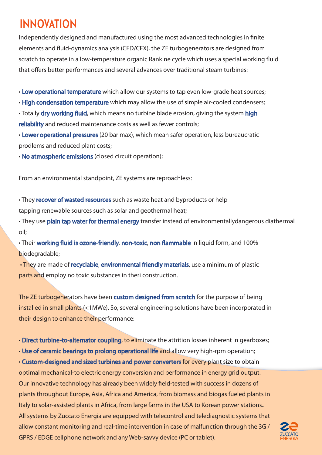#### INNOVATION

Independently designed and manufactured using the most advanced technologies in finite elements and fluid-dynamics analysis (CFD/CFX), the ZE turbogenerators are designed from scratch to operate in a low-temperature organic Rankine cycle which uses a special working fluid that offers better performances and several advances over traditional steam turbines:

• Low operational temperature which allow our systems to tap even low-grade heat sources;

• High condensation temperature which may allow the use of simple air-cooled condensers;

• Totally dry working fluid, which means no turbine blade erosion, giving the system high reliability and reduced maintenance costs as well as fewer controls;

• Lower operational pressures (20 bar max), which mean safer operation, less bureaucratic prodlems and reduced plant costs;

• No atmospheric emissions (closed circuit operation);

From an environmental standpoint, ZE systems are reproachless:

• They recover of wasted resources such as waste heat and byproducts or help tapping renewable sources such as solar and geothermal heat;

• They use plain tap water for thermal energy transfer instead of environmentallydangerous diathermal oil;

• Their working fluid is ozone-friendly, non-toxic, non flammable in liquid form, and 100% biodegradable;

 • They are made of recyclable, environmental friendly materials, use a minimum of plastic parts and employ no toxic substances in theri construction.

The ZE turbogenerators have been custom designed from scratch for the purpose of being installed in small plants (<1MWe). So, several engineering solutions have been incorporated in their design to enhance their performance:

• Direct turbine-to-alternator coupling, to eliminate the attrition losses inherent in gearboxes;

• Use of ceramic bearings to prolong operational life and allow very high-rpm operation;

• Custom-designed and sized turbines and power converters for every plant size to obtain optimal mechanical-to electric energy conversion and performance in energy grid output. Our innovative technology has already been widely field-tested with success in dozens of plants throughout Europe, Asia, Africa and America, from biomass and biogas fueled plants in Italy to solar-assisted plants in Africa, from large farms in the USA to Korean power stations.. All systems by Zuccato Energia are equipped with telecontrol and telediagnostic systems that allow constant monitoring and real-time intervention in case of malfunction through the 3G / GPRS / EDGE cellphone network and any Web-savvy device (PC or tablet).

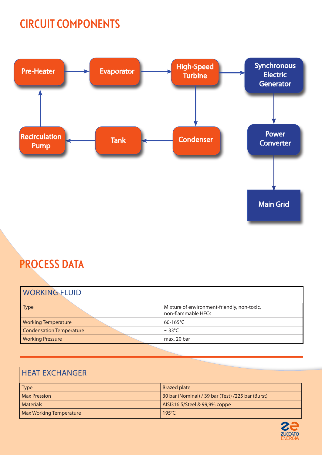#### CIRCUIT COMPONENTS



### PROCESS DATA

| <b>WORKING FLUID</b>       |                                                                   |
|----------------------------|-------------------------------------------------------------------|
| Type                       | Mixture of environment-friendly, non-toxic,<br>non-flammable HFCs |
| <b>Working Temperature</b> | $60-165^{\circ}$ C                                                |
| Condensation Temperature   | $\sim$ 33°C                                                       |
| <b>Working Pressure</b>    | max. 20 bar                                                       |

#### HEAT EXCHANGER

| <b>Type</b>             | <b>Brazed plate</b>                               |
|-------------------------|---------------------------------------------------|
| <b>Max Pression</b>     | 30 bar (Nominal) / 39 bar (Test) /225 bar (Burst) |
| <b>Materials</b>        | AISI316 S/Steel & 99,9% coppe                     |
| Max Working Temperature | $195^{\circ}$ C                                   |